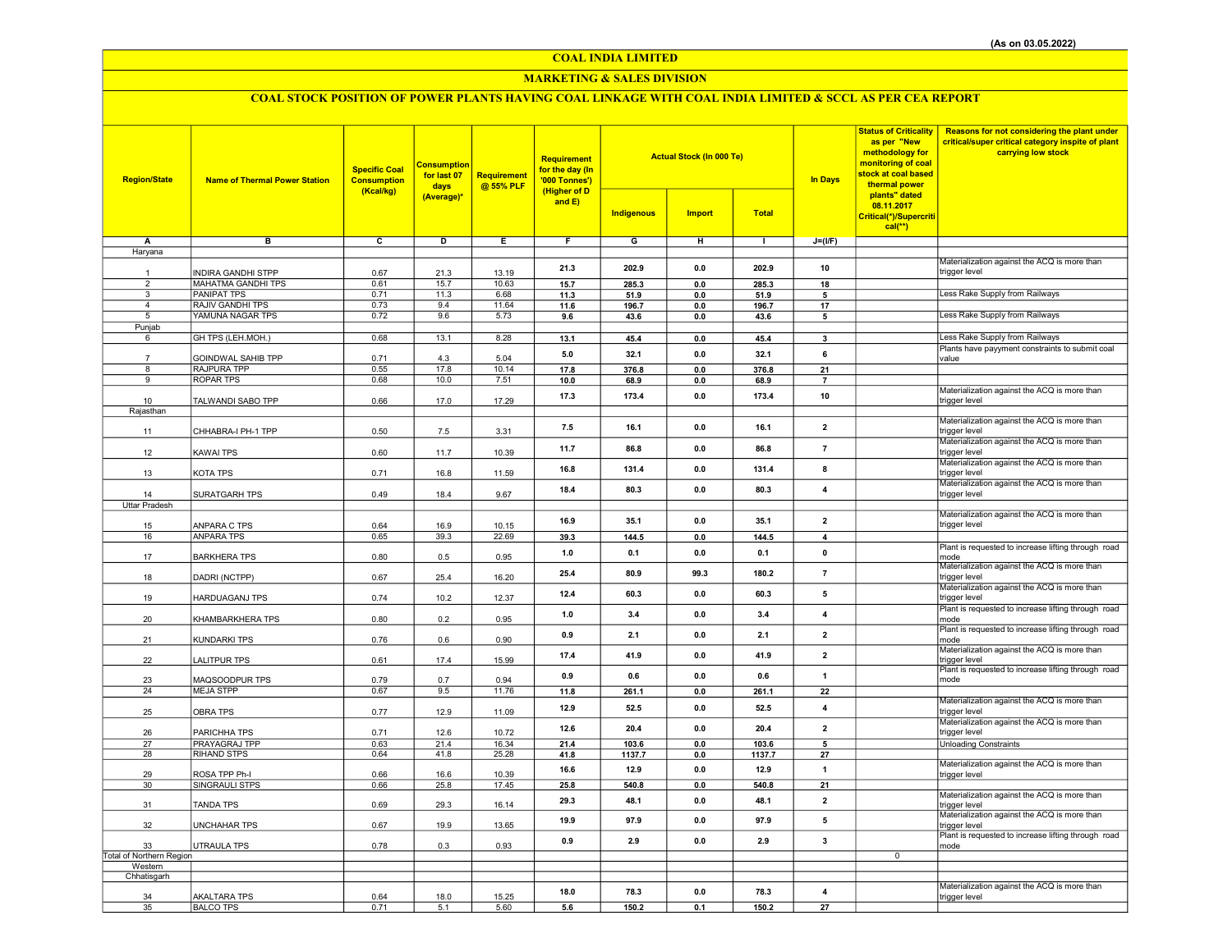## COAL INDIA LIMITED

## MARKETING & SALES DIVISION

# COAL STOCK POSITION OF POWER PLANTS HAVING COAL LINKAGE WITH COAL INDIA LIMITED & SCCL AS PER CEA REPORT

| <b>Region/State</b>      | <b>Name of Thermal Power Station</b> | <b>Specific Coal</b><br><b>Consumption</b><br>(Kcal/kg) | <b>Consumption</b><br>for last 07<br>days<br>(Average)* | <b>Requirement</b><br>@ 55% PLF | <b>Requirement</b><br>for the day (In<br>'000 Tonnes')<br>(Higher of D<br>and $E$ ) |            | <b>Actual Stock (In 000 Te)</b> |              | <b>In Days</b>          | <b>Status of Criticality</b><br>as per "New<br>methodology for<br>monitoring of coal<br>stock at coal based<br>thermal power<br>plants" dated<br>08.11.2017 | Reasons for not considering the plant under<br>critical/super critical category inspite of plant<br>carrying low stock |
|--------------------------|--------------------------------------|---------------------------------------------------------|---------------------------------------------------------|---------------------------------|-------------------------------------------------------------------------------------|------------|---------------------------------|--------------|-------------------------|-------------------------------------------------------------------------------------------------------------------------------------------------------------|------------------------------------------------------------------------------------------------------------------------|
|                          |                                      |                                                         |                                                         |                                 |                                                                                     | Indigenous | <b>Import</b>                   | <b>Total</b> |                         | Critical(*)/Supercriti<br>$cal(**)$                                                                                                                         |                                                                                                                        |
| Α                        | в                                    | $\overline{c}$                                          | Þ                                                       | Е                               | F                                                                                   | G          | Έ                               | Τ            | $J=(VF)$                |                                                                                                                                                             |                                                                                                                        |
| Haryana                  |                                      |                                                         |                                                         |                                 |                                                                                     |            |                                 |              |                         |                                                                                                                                                             |                                                                                                                        |
|                          |                                      |                                                         |                                                         |                                 |                                                                                     |            |                                 |              |                         |                                                                                                                                                             | Materialization against the ACQ is more than                                                                           |
|                          | <b>INDIRA GANDHI STPP</b>            | 0.67                                                    | 21.3                                                    | 13.19                           | 21.3                                                                                | 202.9      | 0.0                             | 202.9        | 10                      |                                                                                                                                                             | trigger level                                                                                                          |
| $\overline{2}$           | <b>MAHATMA GANDHI TPS</b>            | 0.61                                                    | 15.7                                                    | 10.63                           | 15.7                                                                                | 285.3      | 0.0                             | 285.3        | 18                      |                                                                                                                                                             |                                                                                                                        |
| $\overline{\mathbf{3}}$  | <b>PANIPAT TPS</b>                   | 0.71                                                    | 11.3                                                    | 6.68                            | 11.3                                                                                | 51.9       | 0.0                             | 51.9         | 5                       |                                                                                                                                                             | Less Rake Supply from Railways                                                                                         |
| $\overline{a}$           | RAJIV GANDHI TPS                     | 0.73                                                    | 9.4                                                     | 11.64                           | 11.6                                                                                | 196.7      | 0.0                             | 196.7        | 17                      |                                                                                                                                                             |                                                                                                                        |
| 5                        | YAMUNA NAGAR TPS                     | 0.72                                                    | 9.6                                                     | 5.73                            | 9.6                                                                                 | 43.6       | 0.0                             | 43.6         | 5                       |                                                                                                                                                             | Less Rake Supply from Railways                                                                                         |
| Punjab                   |                                      |                                                         |                                                         |                                 |                                                                                     |            |                                 |              |                         |                                                                                                                                                             | Less Rake Supply from Railways                                                                                         |
| 6                        | GH TPS (LEH.MOH.)                    | 0.68                                                    | 13.1                                                    | 8.28                            | 13.1                                                                                | 45.4       | 0.0                             | 45.4         | $\overline{\mathbf{3}}$ |                                                                                                                                                             | Plants have payyment constraints to submit coal                                                                        |
|                          | GOINDWAL SAHIB TPP                   | 0.71                                                    | 4.3                                                     | 5.04                            | 5.0                                                                                 | 32.1       | 0.0                             | 32.1         | 6                       |                                                                                                                                                             | value                                                                                                                  |
| 8                        | RAJPURA TPP                          | 0.55                                                    | 17.8                                                    | 10.14                           | 17.8                                                                                | 376.8      | 0.0                             | 376.8        | 21                      |                                                                                                                                                             |                                                                                                                        |
| 9                        | <b>ROPAR TPS</b>                     | 0.68                                                    | 10.0                                                    | 7.51                            | 10.0                                                                                | 68.9       | 0.0                             | 68.9         | $\overline{7}$          |                                                                                                                                                             |                                                                                                                        |
|                          |                                      |                                                         |                                                         |                                 |                                                                                     |            |                                 |              |                         |                                                                                                                                                             | Materialization against the ACQ is more than                                                                           |
| 10                       | TALWANDI SABO TPP                    | 0.66                                                    | 17.0                                                    | 17.29                           | 17.3                                                                                | 173.4      | 0.0                             | 173.4        | 10                      |                                                                                                                                                             | trigger level                                                                                                          |
| Rajasthan                |                                      |                                                         |                                                         |                                 |                                                                                     |            |                                 |              |                         |                                                                                                                                                             |                                                                                                                        |
|                          |                                      |                                                         |                                                         |                                 | 7.5                                                                                 | 16.1       | 0.0                             | 16.1         | $\overline{2}$          |                                                                                                                                                             | Materialization against the ACQ is more than                                                                           |
| 11                       | CHHABRA-I PH-1 TPP                   | 0.50                                                    | 7.5                                                     | 3.31                            |                                                                                     |            |                                 |              |                         |                                                                                                                                                             | trigger level                                                                                                          |
|                          |                                      |                                                         |                                                         |                                 | 11.7                                                                                | 86.8       | 0.0                             | 86.8         | $\overline{7}$          |                                                                                                                                                             | Materialization against the ACQ is more than<br>trigger level                                                          |
| 12                       | <b>KAWAI TPS</b>                     | 0.60                                                    | 11.7                                                    | 10.39                           |                                                                                     |            |                                 |              |                         |                                                                                                                                                             | Materialization against the ACQ is more than                                                                           |
| 13                       | <b>KOTA TPS</b>                      | 0.71                                                    | 16.8                                                    | 11.59                           | 16.8                                                                                | 131.4      | 0.0                             | 131.4        | 8                       |                                                                                                                                                             | trigger level                                                                                                          |
|                          |                                      |                                                         |                                                         |                                 |                                                                                     |            |                                 |              |                         |                                                                                                                                                             | Materialization against the ACQ is more than                                                                           |
| 14                       | SURATGARH TPS                        | 0.49                                                    | 18.4                                                    | 9.67                            | 18.4                                                                                | 80.3       | 0.0                             | 80.3         | 4                       |                                                                                                                                                             | trigger level                                                                                                          |
| <b>Uttar Pradesh</b>     |                                      |                                                         |                                                         |                                 |                                                                                     |            |                                 |              |                         |                                                                                                                                                             |                                                                                                                        |
|                          |                                      |                                                         |                                                         |                                 | 16.9                                                                                | 35.1       | 0.0                             | 35.1         | $\mathbf{2}$            |                                                                                                                                                             | Materialization against the ACQ is more than                                                                           |
| 15                       | ANPARA C TPS                         | 0.64                                                    | 16.9                                                    | 10.15                           |                                                                                     |            |                                 |              |                         |                                                                                                                                                             | trigger level                                                                                                          |
| 16                       | <b>ANPARA TPS</b>                    | 0.65                                                    | 39.3                                                    | 22.69                           | 39.3                                                                                | 144.5      | 0.0                             | 144.5        | $\overline{4}$          |                                                                                                                                                             |                                                                                                                        |
|                          |                                      |                                                         |                                                         |                                 | 1.0                                                                                 | 0.1        | 0.0                             | 0.1          | $\pmb{0}$               |                                                                                                                                                             | Plant is requested to increase lifting through road<br>mode                                                            |
| 17                       | <b>BARKHERA TPS</b>                  | 0.80                                                    | 0.5                                                     | 0.95                            |                                                                                     |            |                                 |              |                         |                                                                                                                                                             | Materialization against the ACQ is more than                                                                           |
| 18                       | DADRI (NCTPP)                        | 0.67                                                    | 25.4                                                    | 16.20                           | 25.4                                                                                | 80.9       | 99.3                            | 180.2        | $\overline{7}$          |                                                                                                                                                             | trigger level                                                                                                          |
|                          |                                      |                                                         |                                                         |                                 |                                                                                     |            |                                 |              |                         |                                                                                                                                                             | Materialization against the ACQ is more than                                                                           |
| 19                       | HARDUAGANJ TPS                       | 0.74                                                    | 10.2                                                    | 12.37                           | 12.4                                                                                | 60.3       | 0.0                             | 60.3         | 5                       |                                                                                                                                                             | trigger level                                                                                                          |
|                          |                                      |                                                         |                                                         |                                 |                                                                                     |            | 0.0                             |              |                         |                                                                                                                                                             | Plant is requested to increase lifting through road                                                                    |
| 20                       | KHAMBARKHERA TPS                     | 0.80                                                    | 0.2                                                     | 0.95                            | 1.0                                                                                 | 3.4        |                                 | 3.4          | 4                       |                                                                                                                                                             | mode                                                                                                                   |
|                          |                                      |                                                         |                                                         |                                 | 0.9                                                                                 | 2.1        | 0.0                             | 2.1          | $\overline{2}$          |                                                                                                                                                             | Plant is requested to increase lifting through road                                                                    |
| 21                       | <b>KUNDARKI TPS</b>                  | 0.76                                                    | 0.6                                                     | 0.90                            |                                                                                     |            |                                 |              |                         |                                                                                                                                                             | mode                                                                                                                   |
| 22                       | <b>LALITPUR TPS</b>                  | 0.61                                                    | 17.4                                                    | 15.99                           | 17.4                                                                                | 41.9       | 0.0                             | 41.9         | $\mathbf{z}$            |                                                                                                                                                             | Materialization against the ACQ is more than                                                                           |
|                          |                                      |                                                         |                                                         |                                 |                                                                                     |            |                                 |              |                         |                                                                                                                                                             | trigger level<br>Plant is requested to increase lifting through road                                                   |
| 23                       | MAQSOODPUR TPS                       | 0.79                                                    | 0.7                                                     | 0.94                            | 0.9                                                                                 | 0.6        | 0.0                             | 0.6          | $\overline{1}$          |                                                                                                                                                             | mode                                                                                                                   |
| 24                       | <b>MEJA STPP</b>                     | 0.67                                                    | 9.5                                                     | 11.76                           | 11.8                                                                                | 261.1      | 0.0                             | 261.1        | 22                      |                                                                                                                                                             |                                                                                                                        |
|                          |                                      |                                                         |                                                         |                                 | 12.9                                                                                | 52.5       | 0.0                             | 52.5         | 4                       |                                                                                                                                                             | Materialization against the ACQ is more than                                                                           |
| 25                       | <b>OBRA TPS</b>                      | 0.77                                                    | 12.9                                                    | 11.09                           |                                                                                     |            |                                 |              |                         |                                                                                                                                                             | trigger level                                                                                                          |
|                          |                                      |                                                         |                                                         |                                 | 12.6                                                                                | 20.4       | 0.0                             | 20.4         | $\overline{2}$          |                                                                                                                                                             | Materialization against the ACQ is more than                                                                           |
| 26                       | PARICHHA TPS                         | 0.71                                                    | 12.6                                                    | 10.72                           |                                                                                     |            |                                 |              |                         |                                                                                                                                                             | trigger level                                                                                                          |
| 27<br>28                 | PRAYAGRAJ TPP<br><b>RIHAND STPS</b>  | 0.63<br>0.64                                            | 21.4<br>41.8                                            | 16.34<br>25.28                  | 21.4                                                                                | 103.6      | 0.0                             | 103.6        | 5<br>27                 |                                                                                                                                                             | <b>Unloading Constraints</b>                                                                                           |
|                          |                                      |                                                         |                                                         |                                 | 41.8                                                                                | 1137.7     | 0.0                             | 1137.7       |                         |                                                                                                                                                             | Materialization against the ACQ is more than                                                                           |
| 29                       | ROSA TPP Ph-I                        | 0.66                                                    | 16.6                                                    | 10.39                           | 16.6                                                                                | 12.9       | 0.0                             | 12.9         | $\mathbf{1}$            |                                                                                                                                                             | trigger level                                                                                                          |
| 30                       | SINGRAULI STPS                       | 0.66                                                    | 25.8                                                    | 17.45                           | 25.8                                                                                | 540.8      | 0.0                             | 540.8        | 21                      |                                                                                                                                                             |                                                                                                                        |
|                          |                                      |                                                         |                                                         |                                 |                                                                                     |            |                                 |              |                         |                                                                                                                                                             | Materialization against the ACQ is more than                                                                           |
| 31                       | <b>TANDA TPS</b>                     | 0.69                                                    | 29.3                                                    | 16.14                           | 29.3                                                                                | 48.1       | 0.0                             | 48.1         | $\overline{2}$          |                                                                                                                                                             | trigger level                                                                                                          |
|                          |                                      |                                                         |                                                         |                                 | 19.9                                                                                | 97.9       | 0.0                             | 97.9         | 5                       |                                                                                                                                                             | Materialization against the ACQ is more than                                                                           |
| 32                       | <b>UNCHAHAR TPS</b>                  | 0.67                                                    | 19.9                                                    | 13.65                           |                                                                                     |            |                                 |              |                         |                                                                                                                                                             | trigger level                                                                                                          |
| 33                       | UTRAULA TPS                          |                                                         |                                                         | 0.93                            | 0.9                                                                                 | 2.9        | 0.0                             | 2.9          | 3                       |                                                                                                                                                             | Plant is requested to increase lifting through road<br>mode                                                            |
| Total of Northern Region |                                      | 0.78                                                    | 0.3                                                     |                                 |                                                                                     |            |                                 |              |                         | $\overline{0}$                                                                                                                                              |                                                                                                                        |
| Western                  |                                      |                                                         |                                                         |                                 |                                                                                     |            |                                 |              |                         |                                                                                                                                                             |                                                                                                                        |
| Chhatisgarh              |                                      |                                                         |                                                         |                                 |                                                                                     |            |                                 |              |                         |                                                                                                                                                             |                                                                                                                        |
|                          |                                      |                                                         |                                                         |                                 |                                                                                     |            |                                 |              |                         |                                                                                                                                                             | Materialization against the ACQ is more than                                                                           |
| 34                       | <b>AKALTARA TPS</b>                  | 0.64                                                    | 18.0                                                    | 15.25                           | 18.0                                                                                | 78.3       | 0.0                             | 78.3         | $\overline{4}$          |                                                                                                                                                             | trigger level                                                                                                          |
| 35                       | <b>BALCO TPS</b>                     | 0.71                                                    | 5.1                                                     | 5.60                            | 5.6                                                                                 | 150.2      | 0.1                             | 150.2        | 27                      |                                                                                                                                                             |                                                                                                                        |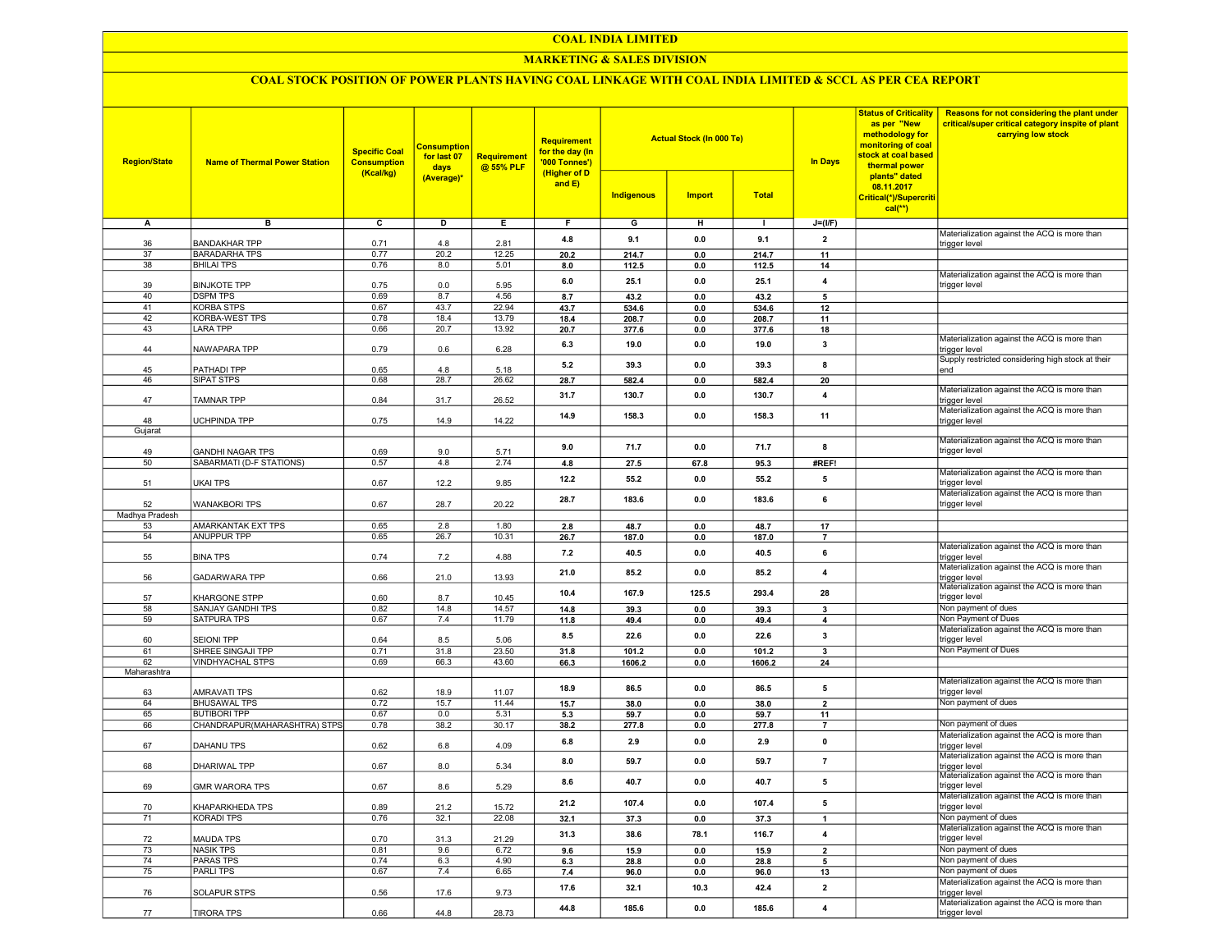#### COAL INDIA LIMITED

## MARKETING & SALES DIVISION

## COAL STOCK POSITION OF POWER PLANTS HAVING COAL LINKAGE WITH COAL INDIA LIMITED & SCCL AS PER CEA REPORT

| <b>Region/State</b> | <b>Name of Thermal Power Station</b>      | <b>Specific Coal</b><br><b>Consumption</b><br>(Kcal/kg) | <u>Consumption</u><br>for last 07<br>days<br>(Average)* | <b>Requirement</b><br>@ 55% PLF | <b>Requirement</b><br>for the day (In<br>'000 Tonnes')<br>(Higher of D<br>and $E$ ) | Indigenous | <b>Actual Stock (In 000 Te)</b><br><b>Import</b> | <b>Total</b> | <b>In Days</b> | <b>Status of Criticality</b><br>as per "New<br>methodology for<br>monitoring of coal<br>stock at coal based<br>thermal power<br>plants" dated<br>08.11.2017<br>Critical(*)/Supercriti<br>$cal(**)$ | Reasons for not considering the plant under<br>critical/super critical category inspite of plant<br>carrying low stock |
|---------------------|-------------------------------------------|---------------------------------------------------------|---------------------------------------------------------|---------------------------------|-------------------------------------------------------------------------------------|------------|--------------------------------------------------|--------------|----------------|----------------------------------------------------------------------------------------------------------------------------------------------------------------------------------------------------|------------------------------------------------------------------------------------------------------------------------|
| А                   | в                                         | c                                                       | D                                                       | Е.                              | F.                                                                                  | G          | н                                                | л.           | $J=(I/F)$      |                                                                                                                                                                                                    |                                                                                                                        |
|                     |                                           |                                                         |                                                         |                                 | 4.8                                                                                 | 9.1        | 0.0                                              | 9.1          | $\mathbf{2}$   |                                                                                                                                                                                                    | Materialization against the ACQ is more than                                                                           |
| 36                  | <b>BANDAKHAR TPP</b>                      | 0.71                                                    | 4.8                                                     | 2.81                            |                                                                                     |            |                                                  |              |                |                                                                                                                                                                                                    | trigger level                                                                                                          |
| 37<br>38            | <b>BARADARHA TPS</b><br><b>BHILAI TPS</b> | 0.77<br>0.76                                            | 20.2<br>8.0                                             | 12.25<br>5.01                   | 20.2                                                                                | 214.7      | 0.0                                              | 214.7        | 11             |                                                                                                                                                                                                    |                                                                                                                        |
|                     |                                           |                                                         |                                                         |                                 | 8.0                                                                                 | 112.5      | 0.0                                              | 112.5        | 14             |                                                                                                                                                                                                    | Materialization against the ACQ is more than                                                                           |
| 39                  | <b>BINJKOTE TPP</b>                       | 0.75                                                    | 0.0                                                     | 5.95                            | 6.0                                                                                 | 25.1       | 0.0                                              | 25.1         | 4              |                                                                                                                                                                                                    | trigger level                                                                                                          |
| 40                  | <b>DSPM TPS</b>                           | 0.69                                                    | 8.7                                                     | 4.56                            | 8.7                                                                                 | 43.2       | 0.0                                              | 43.2         | 5              |                                                                                                                                                                                                    |                                                                                                                        |
| 41                  | <b>KORBA STPS</b>                         | 0.67                                                    | 43.7                                                    | 22.94                           | 43.7                                                                                | 534.6      | 0.0                                              | 534.6        | 12             |                                                                                                                                                                                                    |                                                                                                                        |
| 42                  | <b>KORBA-WEST TPS</b>                     | 0.78                                                    | 18.4                                                    | 13.79                           | 18.4                                                                                | 208.7      | 0.0                                              | 208.7        | 11             |                                                                                                                                                                                                    |                                                                                                                        |
| 43                  | <b>LARA TPP</b>                           | 0.66                                                    | 20.7                                                    | 13.92                           | 20.7                                                                                | 377.6      | 0.0                                              | 377.6        | 18             |                                                                                                                                                                                                    | Materialization against the ACQ is more than                                                                           |
| 44                  | NAWAPARA TPP                              | 0.79                                                    | 0.6                                                     | 6.28                            | 6.3                                                                                 | 19.0       | 0.0                                              | 19.0         | 3              |                                                                                                                                                                                                    | trigger level                                                                                                          |
|                     |                                           |                                                         |                                                         |                                 | 5.2                                                                                 | 39.3       | 0.0                                              | 39.3         | 8              |                                                                                                                                                                                                    | Supply restricted considering high stock at their                                                                      |
| 45                  | PATHADI TPP                               | 0.65                                                    | 4.8                                                     | 5.18                            |                                                                                     |            |                                                  |              |                |                                                                                                                                                                                                    | end                                                                                                                    |
| 46                  | <b>SIPAT STPS</b>                         | 0.68                                                    | 28.7                                                    | 26.62                           | 28.7                                                                                | 582.4      | 0.0                                              | 582.4        | 20             |                                                                                                                                                                                                    | Materialization against the ACQ is more than                                                                           |
| 47                  | TAMNAR TPP                                | 0.84                                                    | 31.7                                                    | 26.52                           | 31.7                                                                                | 130.7      | 0.0                                              | 130.7        | 4              |                                                                                                                                                                                                    | trigger level                                                                                                          |
|                     |                                           |                                                         |                                                         |                                 | 14.9                                                                                | 158.3      | 0.0                                              | 158.3        | 11             |                                                                                                                                                                                                    | Materialization against the ACQ is more than                                                                           |
| 48                  | UCHPINDA TPP                              | 0.75                                                    | 14.9                                                    | 14.22                           |                                                                                     |            |                                                  |              |                |                                                                                                                                                                                                    | trigger level                                                                                                          |
| Gujarat             |                                           |                                                         |                                                         |                                 |                                                                                     |            |                                                  |              |                |                                                                                                                                                                                                    | Materialization against the ACQ is more than                                                                           |
| 49                  | <b>GANDHI NAGAR TPS</b>                   | 0.69                                                    | 9.0                                                     | 5.71                            | 9.0                                                                                 | 71.7       | 0.0                                              | 71.7         | 8              |                                                                                                                                                                                                    | trigger level                                                                                                          |
| 50                  | SABARMATI (D-F STATIONS)                  | 0.57                                                    | 4.8                                                     | 2.74                            | 4.8                                                                                 | 27.5       | 67.8                                             | 95.3         | #REF!          |                                                                                                                                                                                                    |                                                                                                                        |
|                     |                                           |                                                         |                                                         |                                 | 12.2                                                                                | 55.2       | 0.0                                              | 55.2         | 5              |                                                                                                                                                                                                    | Materialization against the ACQ is more than                                                                           |
| 51                  | <b>UKAI TPS</b>                           | 0.67                                                    | 12.2                                                    | 9.85                            |                                                                                     |            |                                                  |              |                |                                                                                                                                                                                                    | trigger level                                                                                                          |
| 52                  | <b>WANAKBORI TPS</b>                      | 0.67                                                    | 28.7                                                    | 20.22                           | 28.7                                                                                | 183.6      | 0.0                                              | 183.6        | 6              |                                                                                                                                                                                                    | Materialization against the ACQ is more than<br>trigger level                                                          |
| Madhya Pradesh      |                                           |                                                         |                                                         |                                 |                                                                                     |            |                                                  |              |                |                                                                                                                                                                                                    |                                                                                                                        |
| 53                  | <b>AMARKANTAK EXT TPS</b>                 | 0.65                                                    | 2.8                                                     | 1.80                            | 2.8                                                                                 | 48.7       | 0.0                                              | 48.7         | 17             |                                                                                                                                                                                                    |                                                                                                                        |
| 54                  | <b>ANUPPUR TPP</b>                        | 0.65                                                    | 26.7                                                    | 10.31                           | 26.7                                                                                | 187.0      | 0.0                                              | 187.0        | $\overline{7}$ |                                                                                                                                                                                                    |                                                                                                                        |
|                     |                                           |                                                         |                                                         |                                 | 7.2                                                                                 | 40.5       | 0.0                                              | 40.5         | 6              |                                                                                                                                                                                                    | Materialization against the ACQ is more than                                                                           |
| 55                  | <b>BINA TPS</b>                           | 0.74                                                    | 7.2                                                     | 4.88                            |                                                                                     |            |                                                  |              |                |                                                                                                                                                                                                    | trigger level<br>Materialization against the ACQ is more than                                                          |
| 56                  | <b>GADARWARA TPP</b>                      | 0.66                                                    | 21.0                                                    | 13.93                           | 21.0                                                                                | 85.2       | 0.0                                              | 85.2         | 4              |                                                                                                                                                                                                    | trigger level                                                                                                          |
|                     |                                           |                                                         |                                                         |                                 |                                                                                     |            |                                                  |              |                |                                                                                                                                                                                                    | Materialization against the ACQ is more than                                                                           |
| 57                  | <b>KHARGONE STPP</b>                      | 0.60                                                    | 8.7                                                     | 10.45                           | 10.4                                                                                | 167.9      | 125.5                                            | 293.4        | 28             |                                                                                                                                                                                                    | trigger level                                                                                                          |
| 58                  | SANJAY GANDHI TPS                         | 0.82                                                    | 14.8                                                    | 14.57                           | 14.8                                                                                | 39.3       | 0.0                                              | 39.3         | 3              |                                                                                                                                                                                                    | Non payment of dues<br>Non Payment of Dues                                                                             |
| 59                  | SATPURA TPS                               | 0.67                                                    | 7.4                                                     | 11.79                           | 11.8                                                                                | 49.4       | 0.0                                              | 49.4         | 4              |                                                                                                                                                                                                    | Materialization against the ACQ is more than                                                                           |
| 60                  | <b>SEIONI TPP</b>                         | 0.64                                                    | 8.5                                                     | 5.06                            | 8.5                                                                                 | 22.6       | 0.0                                              | 22.6         | 3              |                                                                                                                                                                                                    | trigger level                                                                                                          |
| 61                  | SHREE SINGAJI TPP                         | 0.71                                                    | 31.8                                                    | 23.50                           | 31.8                                                                                | 101.2      | 0.0                                              | 101.2        | 3              |                                                                                                                                                                                                    | Non Payment of Dues                                                                                                    |
| 62                  | <b>VINDHYACHAL STPS</b>                   | 0.69                                                    | 66.3                                                    | 43.60                           | 66.3                                                                                | 1606.2     | 0.0                                              | 1606.2       | 24             |                                                                                                                                                                                                    |                                                                                                                        |
| Maharashtra         |                                           |                                                         |                                                         |                                 |                                                                                     |            |                                                  |              |                |                                                                                                                                                                                                    | Materialization against the ACQ is more than                                                                           |
| 63                  | <b>AMRAVATI TPS</b>                       | 0.62                                                    | 18.9                                                    | 11.07                           | 18.9                                                                                | 86.5       | 0.0                                              | 86.5         | 5              |                                                                                                                                                                                                    | trigger level                                                                                                          |
| 64                  | <b>BHUSAWAL TPS</b>                       | 0.72                                                    | 15.7                                                    | 11.44                           | 15.7                                                                                | 38.0       | 0.0                                              | 38.0         | $\overline{2}$ |                                                                                                                                                                                                    | Non payment of dues                                                                                                    |
| 65                  | <b>BUTIBORI TPP</b>                       | 0.67                                                    | 0.0                                                     | 5.31                            | 5.3                                                                                 | 59.7       | 0.0                                              | 59.7         | 11             |                                                                                                                                                                                                    |                                                                                                                        |
| 66                  | CHANDRAPUR(MAHARASHTRA) STPS              | 0.78                                                    | 38.2                                                    | 30.17                           | 38.2                                                                                | 277.8      | 0.0                                              | 277.8        | $\overline{7}$ |                                                                                                                                                                                                    | Non payment of dues                                                                                                    |
|                     |                                           |                                                         |                                                         |                                 | 6.8                                                                                 | 2.9        | 0.0                                              | 2.9          | $\mathbf 0$    |                                                                                                                                                                                                    | Materialization against the ACQ is more than                                                                           |
| 67                  | <b>DAHANU TPS</b>                         | 0.62                                                    | 6.8                                                     | 4.09                            |                                                                                     |            |                                                  |              |                |                                                                                                                                                                                                    | trigger level<br>Materialization against the ACQ is more than                                                          |
| 68                  | DHARIWAL TPP                              | 0.67                                                    | 8.0                                                     | 5.34                            | 8.0                                                                                 | 59.7       | 0.0                                              | 59.7         | $\overline{7}$ |                                                                                                                                                                                                    | trigger level                                                                                                          |
|                     |                                           |                                                         |                                                         |                                 | 8.6                                                                                 | 40.7       | 0.0                                              | 40.7         | 5              |                                                                                                                                                                                                    | Materialization against the ACQ is more than                                                                           |
| 69                  | <b>GMR WARORA TPS</b>                     | 0.67                                                    | 8.6                                                     | 5.29                            |                                                                                     |            |                                                  |              |                |                                                                                                                                                                                                    | trigger level<br>Materialization against the ACQ is more than                                                          |
| 70                  | KHAPARKHEDA TPS                           | 0.89                                                    | 21.2                                                    | 15.72                           | 21.2                                                                                | 107.4      | $0.0\,$                                          | 107.4        | 5              |                                                                                                                                                                                                    | trigger level                                                                                                          |
| 71                  | <b>KORADI TPS</b>                         | 0.76                                                    | 32.1                                                    | 22.08                           | 32.1                                                                                | 37.3       | $0.0\,$                                          | 37.3         | 1              |                                                                                                                                                                                                    | Non payment of dues                                                                                                    |
|                     |                                           |                                                         |                                                         |                                 |                                                                                     |            |                                                  |              |                |                                                                                                                                                                                                    | Materialization against the ACQ is more than                                                                           |
| 72                  | <b>MAUDA TPS</b>                          | 0.70                                                    | 31.3                                                    | 21.29                           | 31.3                                                                                | 38.6       | 78.1                                             | 116.7        | 4              |                                                                                                                                                                                                    | trigger level                                                                                                          |
| 73                  | <b>NASIK TPS</b>                          | 0.81                                                    | 9.6                                                     | 6.72                            | 9.6                                                                                 | 15.9       | 0.0                                              | 15.9         | $\overline{2}$ |                                                                                                                                                                                                    | Non payment of dues                                                                                                    |
| 74                  | <b>PARAS TPS</b><br><b>PARLITPS</b>       | 0.74                                                    | 6.3                                                     | 4.90                            | 6.3                                                                                 | 28.8       | 0.0                                              | 28.8         | 5              |                                                                                                                                                                                                    | Non payment of dues<br>Non payment of dues                                                                             |
| 75                  |                                           | 0.67                                                    | 7.4                                                     | 6.65                            | 7.4                                                                                 | 96.0       | 0.0                                              | 96.0         | 13             |                                                                                                                                                                                                    | Materialization against the ACQ is more than                                                                           |
| 76                  | SOLAPUR STPS                              | 0.56                                                    | 17.6                                                    | 9.73                            | 17.6                                                                                | 32.1       | 10.3                                             | 42.4         | $\mathbf{2}$   |                                                                                                                                                                                                    | trigger level                                                                                                          |
|                     |                                           |                                                         |                                                         |                                 |                                                                                     |            |                                                  |              |                |                                                                                                                                                                                                    | Materialization against the ACQ is more than                                                                           |
| 77                  | <b>TIRORA TPS</b>                         | 0.66                                                    | 44.8                                                    | 28.73                           | 44.8                                                                                | 185.6      | 0.0                                              | 185.6        | 4              |                                                                                                                                                                                                    | trigger level                                                                                                          |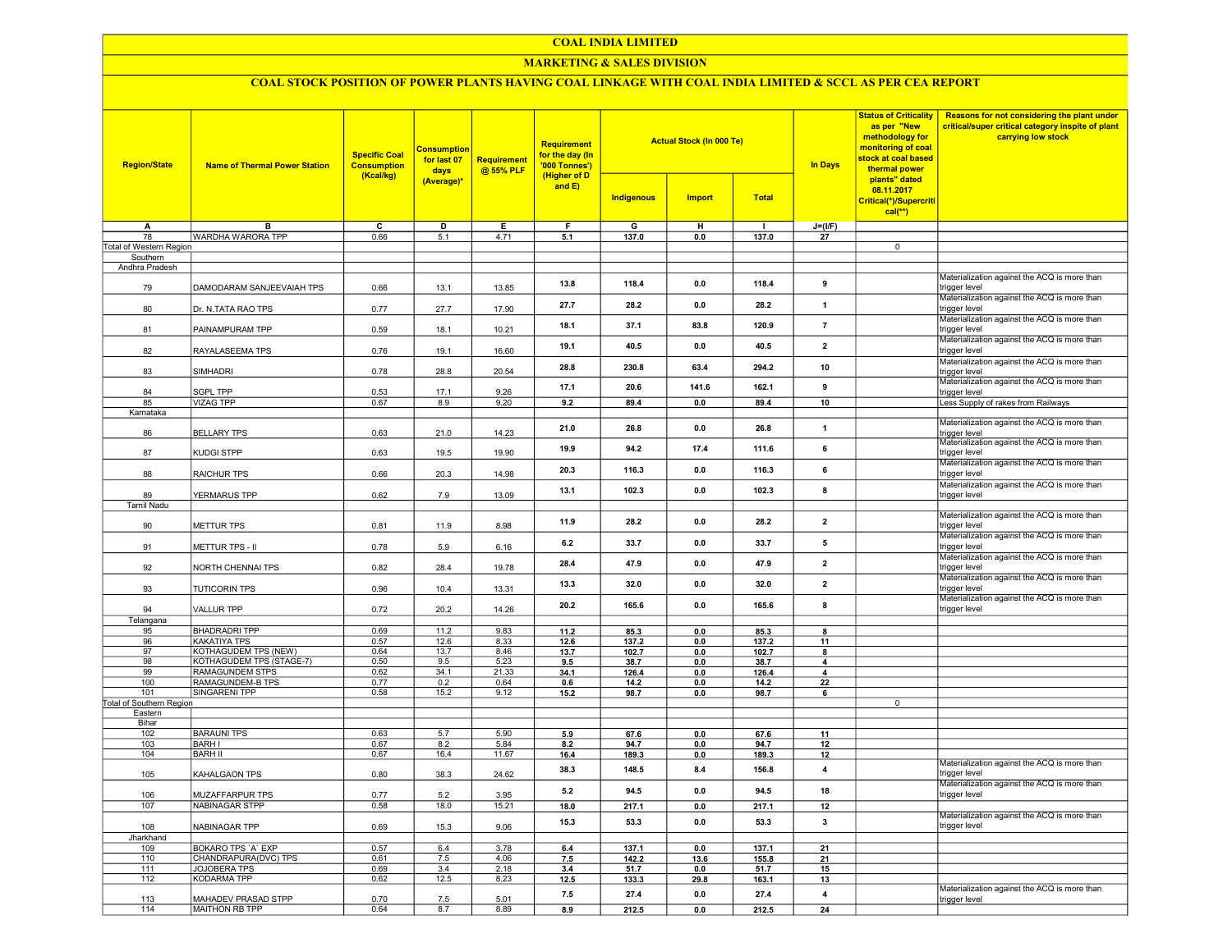#### COAL INDIA LIMITED

## MARKETING & SALES DIVISION

## COAL STOCK POSITION OF POWER PLANTS HAVING COAL LINKAGE WITH COAL INDIA LIMITED & SCCL AS PER CEA REPORT

| <b>Region/State</b>                 | <b>Name of Thermal Power Station</b>     | <b>Specific Coal</b><br><b>Consumption</b><br>(Kcal/kg) | <b>Consumption</b><br>for last 07<br>days<br>(Average)* | <b>Requirement</b><br>@ 55% PLF | Requirement<br>for the day (In<br>'000 Tonnes')<br>(Higher of D |                   | <b>Actual Stock (In 000 Te)</b> |              | In Days                 | <b>Status of Criticality</b><br>as per "New<br>methodology for<br>monitoring of coal<br>stock at coal based<br>thermal power<br>plants" dated | Reasons for not considering the plant under<br>critical/super critical category inspite of plant<br>carrying low stock |
|-------------------------------------|------------------------------------------|---------------------------------------------------------|---------------------------------------------------------|---------------------------------|-----------------------------------------------------------------|-------------------|---------------------------------|--------------|-------------------------|-----------------------------------------------------------------------------------------------------------------------------------------------|------------------------------------------------------------------------------------------------------------------------|
|                                     |                                          |                                                         |                                                         |                                 | and $E$ )                                                       | <b>Indigenous</b> | <b>Import</b>                   | <b>Total</b> |                         | 08.11.2017<br>Critical(*)/Supercriti<br>$cal(**)$                                                                                             |                                                                                                                        |
| Α                                   | B                                        | $\overline{\mathsf{c}}$                                 | D                                                       | Е                               | F                                                               | G                 | H                               | $\mathbf{I}$ | $J=(UF)$                |                                                                                                                                               |                                                                                                                        |
| 78                                  | WARDHA WARORA TPP                        | 0.66                                                    | 5.1                                                     | 4.71                            | 5.1                                                             | 137.0             | 0.0                             | 137.0        | 27                      |                                                                                                                                               |                                                                                                                        |
| Total of Western Region<br>Southern |                                          |                                                         |                                                         |                                 |                                                                 |                   |                                 |              |                         | $\overline{0}$                                                                                                                                |                                                                                                                        |
| Andhra Pradesh                      |                                          |                                                         |                                                         |                                 |                                                                 |                   |                                 |              |                         |                                                                                                                                               |                                                                                                                        |
| 79                                  | DAMODARAM SANJEEVAIAH TPS                | 0.66                                                    | 13.1                                                    | 13.85                           | 13.8                                                            | 118.4             | 0.0                             | 118.4        | 9                       |                                                                                                                                               | Materialization against the ACQ is more than<br>trigger level                                                          |
| 80                                  | Dr. N.TATA RAO TPS                       | 0.77                                                    | 27.7                                                    | 17.90                           | 27.7                                                            | 28.2              | 0.0                             | 28.2         | $\mathbf{1}$            |                                                                                                                                               | Materialization against the ACQ is more than<br>trigger level                                                          |
| 81                                  | PAINAMPURAM TPP                          | 0.59                                                    | 18.1                                                    | 10.21                           | 18.1                                                            | 37.1              | 83.8                            | 120.9        | $\overline{7}$          |                                                                                                                                               | Materialization against the ACQ is more than<br>trigger level                                                          |
| 82                                  | RAYALASEEMA TPS                          | 0.76                                                    | 19.1                                                    | 16.60                           | 19.1                                                            | 40.5              | 0.0                             | 40.5         | $\overline{2}$          |                                                                                                                                               | Materialization against the ACQ is more than<br>trigger level                                                          |
| 83                                  | <b>SIMHADRI</b>                          | 0.78                                                    | 28.8                                                    | 20.54                           | 28.8                                                            | 230.8             | 63.4                            | 294.2        | 10                      |                                                                                                                                               | Materialization against the ACQ is more than<br>trigger level                                                          |
| 84                                  | SGPL TPP                                 | 0.53                                                    | 17.1                                                    | 9.26                            | 17.1                                                            | 20.6              | 141.6                           | 162.1        | 9                       |                                                                                                                                               | Materialization against the ACQ is more than<br>trigger level                                                          |
| 85                                  | <b>VIZAG TPP</b>                         | 0.67                                                    | 8.9                                                     | 9.20                            | 9.2                                                             | 89.4              | 0.0                             | 89.4         | 10                      |                                                                                                                                               | Less Supply of rakes from Railways                                                                                     |
| Karnataka<br>86                     | <b>BELLARY TPS</b>                       |                                                         | 21.0                                                    |                                 | 21.0                                                            | 26.8              | 0.0                             | 26.8         | 1                       |                                                                                                                                               | Materialization against the ACQ is more than                                                                           |
| 87                                  | KUDGI STPP                               | 0.63<br>0.63                                            | 19.5                                                    | 14.23<br>19.90                  | 19.9                                                            | 94.2              | 17.4                            | 111.6        | 6                       |                                                                                                                                               | trigger level<br>Materialization against the ACQ is more than<br>trigger level                                         |
| 88                                  | RAICHUR TPS                              | 0.66                                                    | 20.3                                                    | 14.98                           | 20.3                                                            | 116.3             | 0.0                             | 116.3        | 6                       |                                                                                                                                               | Materialization against the ACQ is more than<br>trigger level                                                          |
| 89                                  | YERMARUS TPP                             | 0.62                                                    | 7.9                                                     | 13.09                           | 13.1                                                            | 102.3             | 0.0                             | 102.3        | 8                       |                                                                                                                                               | Materialization against the ACQ is more than<br>trigger level                                                          |
| <b>Tamil Nadu</b>                   |                                          |                                                         |                                                         |                                 |                                                                 |                   |                                 |              |                         |                                                                                                                                               | Materialization against the ACQ is more than                                                                           |
| 90                                  | <b>METTUR TPS</b>                        | 0.81                                                    | 11.9                                                    | 8.98                            | 11.9                                                            | 28.2              | 0.0                             | 28.2         | $\overline{\mathbf{2}}$ |                                                                                                                                               | trigger level<br>Materialization against the ACQ is more than                                                          |
| 91                                  | METTUR TPS - II                          | 0.78                                                    | 5.9                                                     | 6.16                            | 6.2                                                             | 33.7              | 0.0                             | 33.7         | 5                       |                                                                                                                                               | trigger level<br>Materialization against the ACQ is more than                                                          |
| 92                                  | NORTH CHENNAI TPS                        | 0.82                                                    | 28.4                                                    | 19.78                           | 28.4                                                            | 479               | 0.0                             | 47.9         | $\overline{\mathbf{2}}$ |                                                                                                                                               | trigger level<br>Materialization against the ACQ is more than                                                          |
| 93                                  | <b>TUTICORIN TPS</b>                     | 0.96                                                    | 10.4                                                    | 13.31                           | 13.3                                                            | 32.0              | 0.0                             | 32.0         | $\overline{\mathbf{2}}$ |                                                                                                                                               | trigger level<br>Materialization against the ACQ is more than                                                          |
| 94<br>Telangana                     | <b>VALLUR TPP</b>                        | 0.72                                                    | 20.2                                                    | 14.26                           | 20.2                                                            | 165.6             | 0.0                             | 165.6        | 8                       |                                                                                                                                               | trigger level                                                                                                          |
| 95                                  | <b>BHADRADRI TPP</b>                     | 0.69                                                    | 11.2                                                    | 9.83                            | 11.2                                                            | 85.3              | 0.0                             | 85.3         | 8                       |                                                                                                                                               |                                                                                                                        |
| 96                                  | KAKATIYA TPS                             | 0.57                                                    | 12.6                                                    | 8.33                            | 12.6                                                            | 137.2             | 0.0                             | 137.2        | 11                      |                                                                                                                                               |                                                                                                                        |
| 97                                  | <b>KOTHAGUDEM TPS (NEW)</b>              | 0.64                                                    | 13.7                                                    | 8.46                            | 13.7                                                            | 102.7             | 0.0                             | 102.7        | 8                       |                                                                                                                                               |                                                                                                                        |
| 98                                  | KOTHAGUDEM TPS (STAGE-7)                 | 0.50                                                    | 9.5                                                     | 5.23                            | 9.5                                                             | 38.7              | 0.0                             | 38.7         | 4                       |                                                                                                                                               |                                                                                                                        |
| 99                                  | <b>RAMAGUNDEM STPS</b>                   | 0.62                                                    | 34.1                                                    | 21.33                           | 34.1                                                            | 126.4             | 0.0                             | 126.4        | -4                      |                                                                                                                                               |                                                                                                                        |
| 100<br>101                          | RAMAGUNDEM-B TPS<br><b>SINGARENI TPP</b> | 0.77<br>0.58                                            | 0.2<br>15.2                                             | 0.64<br>9.12                    | 0.6<br>15.2                                                     | 14.2<br>98.7      | 0.0<br>0.0                      | 14.2<br>98.7 | 22<br>6                 |                                                                                                                                               |                                                                                                                        |
| Total of Southern Region            |                                          |                                                         |                                                         |                                 |                                                                 |                   |                                 |              |                         | $\overline{0}$                                                                                                                                |                                                                                                                        |
| Eastern                             |                                          |                                                         |                                                         |                                 |                                                                 |                   |                                 |              |                         |                                                                                                                                               |                                                                                                                        |
| Bihar                               |                                          |                                                         |                                                         |                                 |                                                                 |                   |                                 |              |                         |                                                                                                                                               |                                                                                                                        |
| 102                                 | <b>BARAUNI TPS</b>                       | 0.63                                                    | 5.7                                                     | 5.90                            | 5.9                                                             | 67.6              | 0.0                             | 67.6         | 11                      |                                                                                                                                               |                                                                                                                        |
| 103                                 | <b>BARH I</b>                            | 0.67                                                    | 8.2                                                     | 5.84                            | 8.2                                                             | 94.7              | 0.0                             | 94.7         | 12                      |                                                                                                                                               |                                                                                                                        |
| 104                                 | <b>BARH II</b>                           | 0.67                                                    | 16.4                                                    | 11.67                           | 16.4                                                            | 189.3             | 0.0                             | 189.3        | 12                      |                                                                                                                                               |                                                                                                                        |
| 105                                 | KAHALGAON TPS                            | 0.80                                                    | 38.3                                                    | 24.62                           | 38.3                                                            | 148.5             | 8.4                             | 156.8        | $\overline{\mathbf{4}}$ |                                                                                                                                               | Materialization against the ACQ is more than<br>trigger level                                                          |
| 106                                 | MUZAFFARPUR TPS                          | 0.77                                                    | 5.2                                                     | 3.95                            | 5.2                                                             | 94.5              | 0.0                             | 94.5         | 18                      |                                                                                                                                               | Materialization against the ACQ is more than<br>trigger level                                                          |
| 107                                 | <b>NABINAGAR STPP</b>                    | 0.58                                                    | 18.0                                                    | 15.21                           | 18.0                                                            | 217.1             | 0.0                             | 217.1        | 12                      |                                                                                                                                               | Materialization against the ACQ is more than                                                                           |
| 108                                 | NABINAGAR TPP                            | 0.69                                                    | 15.3                                                    | 9.06                            | 15.3                                                            | 53.3              | 0.0                             | 53.3         | $\mathbf{3}$            |                                                                                                                                               | trigger level                                                                                                          |
| Jharkhand<br>109                    | BOKARO TPS 'A' EXP                       | 0.57                                                    | 6.4                                                     | 3.78                            | 6.4                                                             | 137.1             | 0 <sub>0</sub>                  | 137.1        | 21                      |                                                                                                                                               |                                                                                                                        |
| 110                                 | CHANDRAPURA(DVC) TPS                     | 0.61                                                    | 7.5                                                     | 4.06                            | 7.5                                                             | 142.2             | 13.6                            | 155.8        | 21                      |                                                                                                                                               |                                                                                                                        |
| 111                                 | <b>JOJOBERA TPS</b>                      | 0.69                                                    | 3.4                                                     | 2.18                            | 3.4                                                             | 51.7              | 0.0                             | 51.7         | 15                      |                                                                                                                                               |                                                                                                                        |
| 112                                 | <b>KODARMA TPP</b>                       | 0.62                                                    | 12.5                                                    | 8.23                            | 12.5                                                            | 133.3             | 29.8                            | 163.1        | 13                      |                                                                                                                                               |                                                                                                                        |
| 113                                 | MAHADEV PRASAD STPP                      | 0.70                                                    | 7.5                                                     | 5.01                            | 7.5                                                             | 27.4              | 0.0                             | 27.4         | 4                       |                                                                                                                                               | Materialization against the ACQ is more than<br>trigger level                                                          |
| 114                                 | MAITHON RB TPP                           | 0.64                                                    | 8.7                                                     | 8.89                            | 8.9                                                             | 212.5             | 0.0                             | 212.5        | 24                      |                                                                                                                                               |                                                                                                                        |